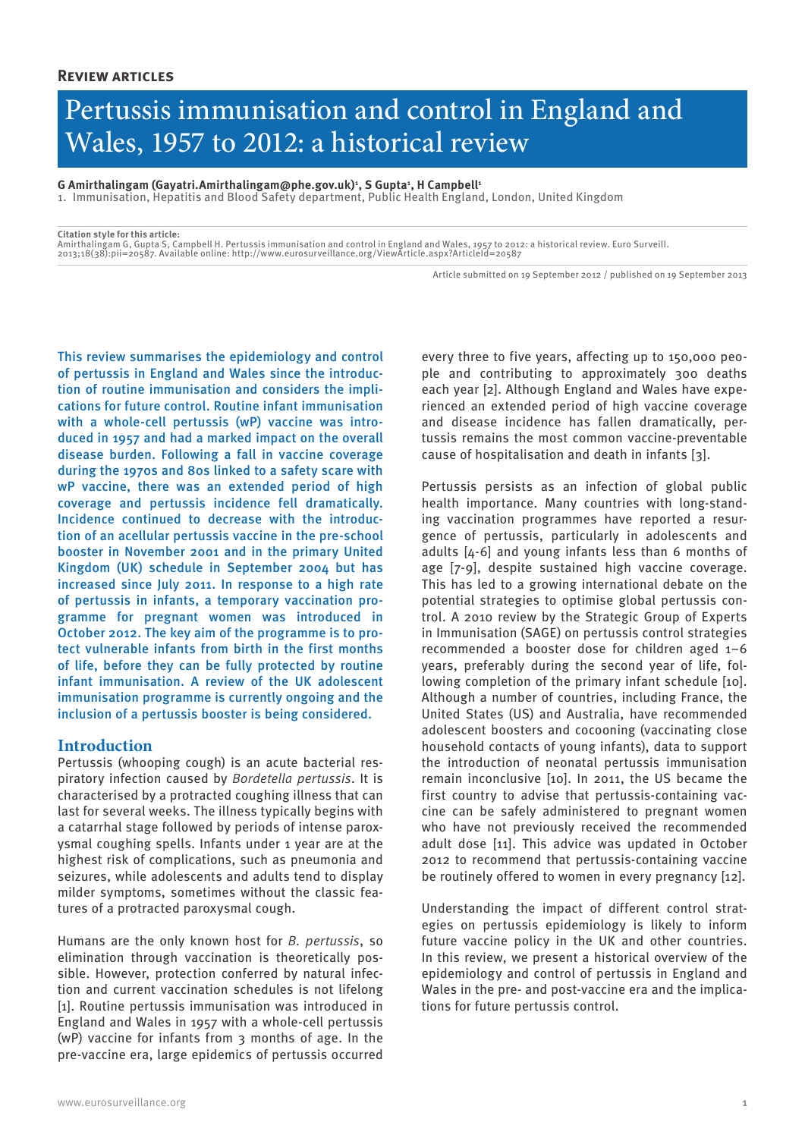# Pertussis immunisation and control in England and Wales, 1957 to 2012: a historical review

 $\mathsf{G}$  Amirthalingam (Gayatri.Amirthalingam@phe.gov.uk)<sup>1</sup>, S Gupta<sup>1</sup>, H Campbell<sup>1</sup>

1. Immunisation, Hepatitis and Blood Safety department, Public Health England, London, United Kingdom

**Citation style for this article:**

Amirthalingam G, Gupta S, Campbell H. Pertussis immunisation and control in England and Wales, 1957 to 2012: a historical review. Euro Surveill.<br>2013;18(38):pii=20587. Available online: http://www.eurosurveillance.org/View

Article submitted on 19 September 2012 / published on 19 September 2013

This review summarises the epidemiology and control of pertussis in England and Wales since the introduction of routine immunisation and considers the implications for future control. Routine infant immunisation with a whole-cell pertussis (wP) vaccine was introduced in 1957 and had a marked impact on the overall disease burden. Following a fall in vaccine coverage during the 1970s and 80s linked to a safety scare with wP vaccine, there was an extended period of high coverage and pertussis incidence fell dramatically. Incidence continued to decrease with the introduction of an acellular pertussis vaccine in the pre-school booster in November 2001 and in the primary United Kingdom (UK) schedule in September 2004 but has increased since July 2011. In response to a high rate of pertussis in infants, a temporary vaccination programme for pregnant women was introduced in October 2012. The key aim of the programme is to protect vulnerable infants from birth in the first months of life, before they can be fully protected by routine infant immunisation. A review of the UK adolescent immunisation programme is currently ongoing and the inclusion of a pertussis booster is being considered.

## **Introduction**

Pertussis (whooping cough) is an acute bacterial respiratory infection caused by *Bordetella pertussis*. It is characterised by a protracted coughing illness that can last for several weeks. The illness typically begins with a catarrhal stage followed by periods of intense paroxysmal coughing spells. Infants under 1 year are at the highest risk of complications, such as pneumonia and seizures, while adolescents and adults tend to display milder symptoms, sometimes without the classic features of a protracted paroxysmal cough.

Humans are the only known host for *B. pertussis*, so elimination through vaccination is theoretically possible. However, protection conferred by natural infection and current vaccination schedules is not lifelong [1]. Routine pertussis immunisation was introduced in England and Wales in 1957 with a whole-cell pertussis (wP) vaccine for infants from 3 months of age. In the pre-vaccine era, large epidemics of pertussis occurred

every three to five years, affecting up to 150,000 people and contributing to approximately 300 deaths each year [2]. Although England and Wales have experienced an extended period of high vaccine coverage and disease incidence has fallen dramatically, pertussis remains the most common vaccine-preventable cause of hospitalisation and death in infants [3].

Pertussis persists as an infection of global public health importance. Many countries with long-standing vaccination programmes have reported a resurgence of pertussis, particularly in adolescents and adults [4-6] and young infants less than 6 months of age [7-9], despite sustained high vaccine coverage. This has led to a growing international debate on the potential strategies to optimise global pertussis control. A 2010 review by the Strategic Group of Experts in Immunisation (SAGE) on pertussis control strategies recommended a booster dose for children aged 1–6 years, preferably during the second year of life, following completion of the primary infant schedule [10]. Although a number of countries, including France, the United States (US) and Australia, have recommended adolescent boosters and cocooning (vaccinating close household contacts of young infants), data to support the introduction of neonatal pertussis immunisation remain inconclusive [10]. In 2011, the US became the first country to advise that pertussis-containing vaccine can be safely administered to pregnant women who have not previously received the recommended adult dose [11]. This advice was updated in October 2012 to recommend that pertussis-containing vaccine be routinely offered to women in every pregnancy [12].

Understanding the impact of different control strategies on pertussis epidemiology is likely to inform future vaccine policy in the UK and other countries. In this review, we present a historical overview of the epidemiology and control of pertussis in England and Wales in the pre- and post-vaccine era and the implications for future pertussis control.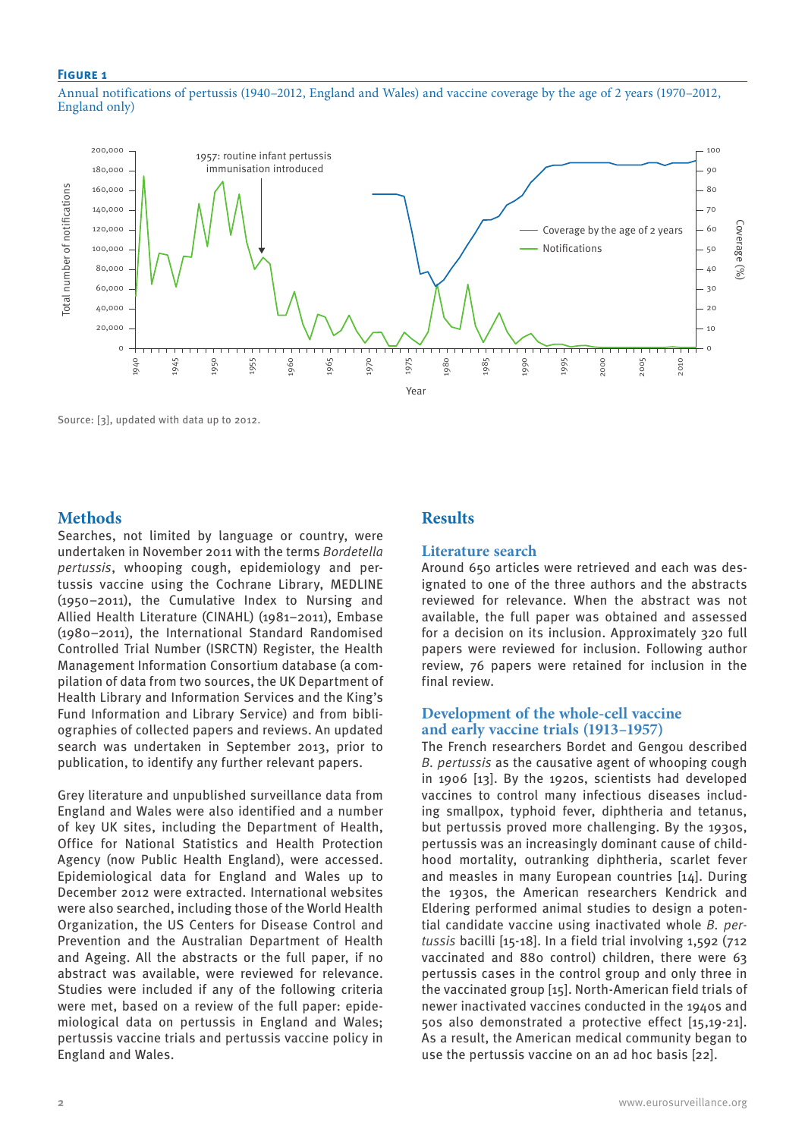#### **Figure 1**

Annual notifications of pertussis (1940–2012, England and Wales) and vaccine coverage by the age of 2 years (1970–2012, England only)



Source: [3], updated with data up to 2012.

# **Methods**

Searches, not limited by language or country, were undertaken in November 2011 with the terms *Bordetella pertussis*, whooping cough, epidemiology and pertussis vaccine using the Cochrane Library, MEDLINE (1950–2011), the Cumulative Index to Nursing and Allied Health Literature (CINAHL) (1981–2011), Embase (1980–2011), the International Standard Randomised Controlled Trial Number (ISRCTN) Register, the Health Management Information Consortium database (a compilation of data from two sources, the UK Department of Health Library and Information Services and the King's Fund Information and Library Service) and from bibliographies of collected papers and reviews. An updated search was undertaken in September 2013, prior to publication, to identify any further relevant papers.

Grey literature and unpublished surveillance data from England and Wales were also identified and a number of key UK sites, including the Department of Health, Office for National Statistics and Health Protection Agency (now Public Health England), were accessed. Epidemiological data for England and Wales up to December 2012 were extracted. International websites were also searched, including those of the World Health Organization, the US Centers for Disease Control and Prevention and the Australian Department of Health and Ageing. All the abstracts or the full paper, if no abstract was available, were reviewed for relevance. Studies were included if any of the following criteria were met, based on a review of the full paper: epidemiological data on pertussis in England and Wales; pertussis vaccine trials and pertussis vaccine policy in England and Wales.

# **Results**

#### **Literature search**

Around 650 articles were retrieved and each was designated to one of the three authors and the abstracts reviewed for relevance. When the abstract was not available, the full paper was obtained and assessed for a decision on its inclusion. Approximately 320 full papers were reviewed for inclusion. Following author review, 76 papers were retained for inclusion in the final review.

## **Development of the whole-cell vaccine and early vaccine trials (1913–1957)**

The French researchers Bordet and Gengou described *B. pertussis* as the causative agent of whooping cough in 1906 [13]. By the 1920s, scientists had developed vaccines to control many infectious diseases including smallpox, typhoid fever, diphtheria and tetanus, but pertussis proved more challenging. By the 1930s, pertussis was an increasingly dominant cause of childhood mortality, outranking diphtheria, scarlet fever and measles in many European countries [14]. During the 1930s, the American researchers Kendrick and Eldering performed animal studies to design a potential candidate vaccine using inactivated whole *B. pertussis* bacilli [15-18]. In a field trial involving 1,592 (712 vaccinated and 880 control) children, there were 63 pertussis cases in the control group and only three in the vaccinated group [15]. North-American field trials of newer inactivated vaccines conducted in the 1940s and 50s also demonstrated a protective effect [15,19-21]. As a result, the American medical community began to use the pertussis vaccine on an ad hoc basis [22].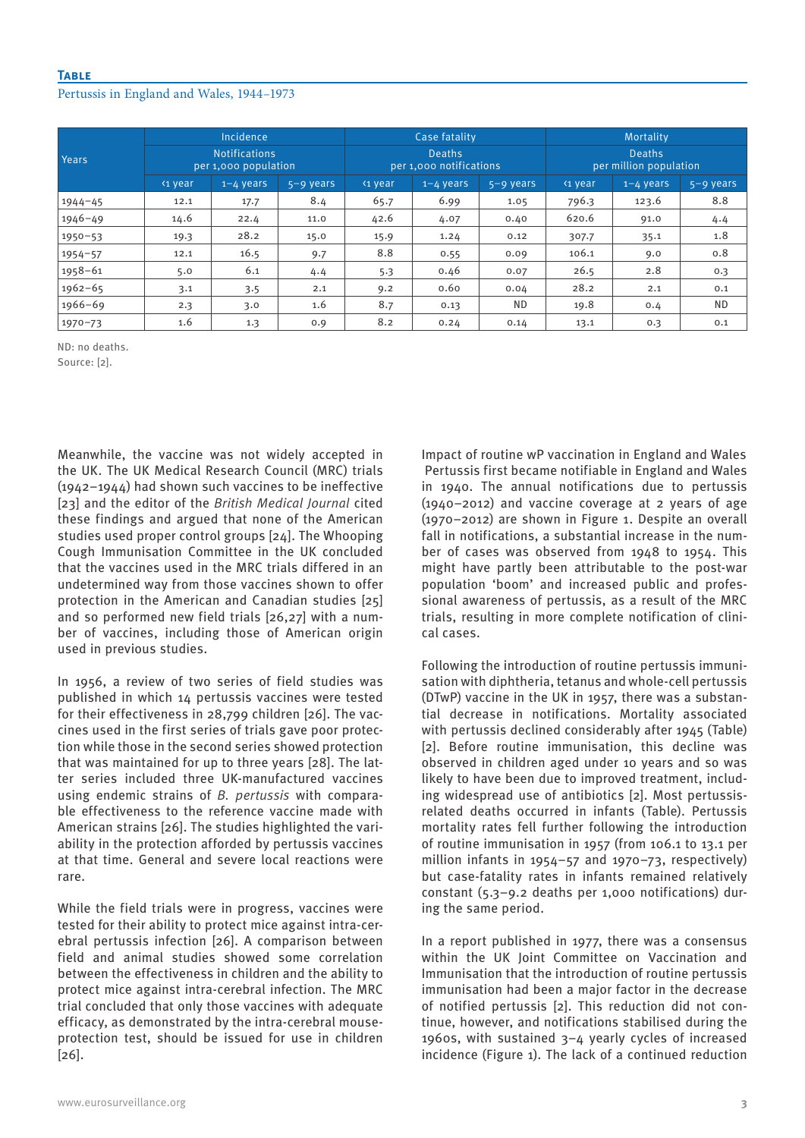## **Table**

### Pertussis in England and Wales, 1944–1973

| Years       | Incidence<br><b>Notifications</b><br>per 1,000 population |      |      | Case fatality<br><b>Deaths</b><br>per 1,000 notifications |      |           | Mortality<br><b>Deaths</b><br>per million population |       |           |
|-------------|-----------------------------------------------------------|------|------|-----------------------------------------------------------|------|-----------|------------------------------------------------------|-------|-----------|
|             |                                                           |      |      |                                                           |      |           |                                                      |       |           |
|             | $1944 - 45$                                               | 12.1 | 17.7 | 8.4                                                       | 65.7 | 6.99      | 1.05                                                 | 796.3 | 123.6     |
| $1946 - 49$ | 14.6                                                      | 22.4 | 11.0 | 42.6                                                      | 4.07 | 0.40      | 620.6                                                | 91.0  | 4.4       |
| $1950 - 53$ | 19.3                                                      | 28.2 | 15.0 | 15.9                                                      | 1.24 | 0.12      | 307.7                                                | 35.1  | 1.8       |
| $1954 - 57$ | 12.1                                                      | 16.5 | 9.7  | 8.8                                                       | 0.55 | 0.09      | 106.1                                                | 9.0   | 0.8       |
| $1958 - 61$ | 5.0                                                       | 6.1  | 4.4  | 5.3                                                       | 0.46 | 0.07      | 26.5                                                 | 2.8   | 0.3       |
| $1962 - 65$ | 3.1                                                       | 3.5  | 2.1  | 9.2                                                       | 0.60 | 0.04      | 28.2                                                 | 2.1   | 0.1       |
| $1966 - 69$ | 2.3                                                       | 3.0  | 1.6  | 8.7                                                       | 0.13 | <b>ND</b> | 19.8                                                 | 0.4   | <b>ND</b> |
| $1970 - 73$ | 1.6                                                       | 1.3  | 0.9  | 8.2                                                       | 0.24 | 0.14      | 13.1                                                 | 0.3   | 0.1       |

ND: no deaths.

Source: [2].

Meanwhile, the vaccine was not widely accepted in the UK. The UK Medical Research Council (MRC) trials (1942–1944) had shown such vaccines to be ineffective [23] and the editor of the *British Medical Journal* cited these findings and argued that none of the American studies used proper control groups [24]. The Whooping Cough Immunisation Committee in the UK concluded that the vaccines used in the MRC trials differed in an undetermined way from those vaccines shown to offer protection in the American and Canadian studies [25] and so performed new field trials [26,27] with a number of vaccines, including those of American origin used in previous studies.

In 1956, a review of two series of field studies was published in which 14 pertussis vaccines were tested for their effectiveness in 28,799 children [26]. The vaccines used in the first series of trials gave poor protection while those in the second series showed protection that was maintained for up to three years [28]. The latter series included three UK-manufactured vaccines using endemic strains of *B. pertussis* with comparable effectiveness to the reference vaccine made with American strains [26]. The studies highlighted the variability in the protection afforded by pertussis vaccines at that time. General and severe local reactions were rare.

While the field trials were in progress, vaccines were tested for their ability to protect mice against intra-cerebral pertussis infection [26]. A comparison between field and animal studies showed some correlation between the effectiveness in children and the ability to protect mice against intra-cerebral infection. The MRC trial concluded that only those vaccines with adequate efficacy, as demonstrated by the intra-cerebral mouseprotection test, should be issued for use in children [26].

Impact of routine wP vaccination in England and Wales Pertussis first became notifiable in England and Wales in 1940. The annual notifications due to pertussis (1940–2012) and vaccine coverage at 2 years of age (1970–2012) are shown in Figure 1. Despite an overall fall in notifications, a substantial increase in the number of cases was observed from 1948 to 1954. This might have partly been attributable to the post-war population 'boom' and increased public and professional awareness of pertussis, as a result of the MRC trials, resulting in more complete notification of clinical cases.

Following the introduction of routine pertussis immunisation with diphtheria, tetanus and whole-cell pertussis (DTwP) vaccine in the UK in 1957, there was a substantial decrease in notifications. Mortality associated with pertussis declined considerably after 1945 (Table) [2]. Before routine immunisation, this decline was observed in children aged under 10 years and so was likely to have been due to improved treatment, including widespread use of antibiotics [2]. Most pertussisrelated deaths occurred in infants (Table). Pertussis mortality rates fell further following the introduction of routine immunisation in 1957 (from 106.1 to 13.1 per million infants in 1954–57 and 1970–73, respectively) but case-fatality rates in infants remained relatively constant (5.3–9.2 deaths per 1,000 notifications) during the same period.

In a report published in 1977, there was a consensus within the UK Joint Committee on Vaccination and Immunisation that the introduction of routine pertussis immunisation had been a major factor in the decrease of notified pertussis [2]. This reduction did not continue, however, and notifications stabilised during the 1960s, with sustained 3–4 yearly cycles of increased incidence (Figure 1). The lack of a continued reduction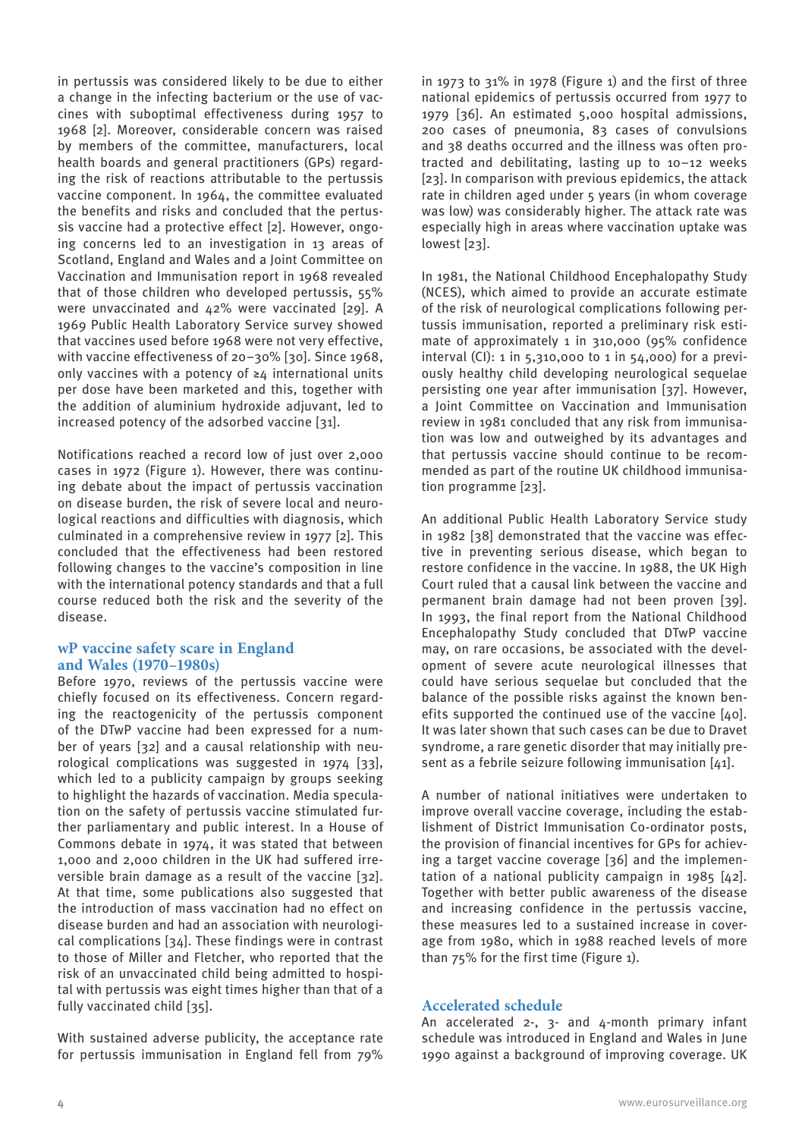in pertussis was considered likely to be due to either a change in the infecting bacterium or the use of vaccines with suboptimal effectiveness during 1957 to 1968 [2]. Moreover, considerable concern was raised by members of the committee, manufacturers, local health boards and general practitioners (GPs) regarding the risk of reactions attributable to the pertussis vaccine component. In 1964, the committee evaluated the benefits and risks and concluded that the pertussis vaccine had a protective effect [2]. However, ongoing concerns led to an investigation in 13 areas of Scotland, England and Wales and a Joint Committee on Vaccination and Immunisation report in 1968 revealed that of those children who developed pertussis, 55% were unvaccinated and 42% were vaccinated [29]. A 1969 Public Health Laboratory Service survey showed that vaccines used before 1968 were not very effective, with vaccine effectiveness of 20–30% [30]. Since 1968, only vaccines with a potency of ≥4 international units per dose have been marketed and this, together with the addition of aluminium hydroxide adjuvant, led to increased potency of the adsorbed vaccine [31].

Notifications reached a record low of just over 2,000 cases in 1972 (Figure 1). However, there was continuing debate about the impact of pertussis vaccination on disease burden, the risk of severe local and neurological reactions and difficulties with diagnosis, which culminated in a comprehensive review in 1977 [2]. This concluded that the effectiveness had been restored following changes to the vaccine's composition in line with the international potency standards and that a full course reduced both the risk and the severity of the disease.

## **wP vaccine safety scare in England and Wales (1970–1980s)**

Before 1970, reviews of the pertussis vaccine were chiefly focused on its effectiveness. Concern regarding the reactogenicity of the pertussis component of the DTwP vaccine had been expressed for a number of years [32] and a causal relationship with neurological complications was suggested in 1974 [33], which led to a publicity campaign by groups seeking to highlight the hazards of vaccination. Media speculation on the safety of pertussis vaccine stimulated further parliamentary and public interest. In a House of Commons debate in 1974, it was stated that between 1,000 and 2,000 children in the UK had suffered irreversible brain damage as a result of the vaccine [32]. At that time, some publications also suggested that the introduction of mass vaccination had no effect on disease burden and had an association with neurological complications [34]. These findings were in contrast to those of Miller and Fletcher, who reported that the risk of an unvaccinated child being admitted to hospital with pertussis was eight times higher than that of a fully vaccinated child [35].

With sustained adverse publicity, the acceptance rate for pertussis immunisation in England fell from 79% in 1973 to 31% in 1978 (Figure 1) and the first of three national epidemics of pertussis occurred from 1977 to 1979 [36]. An estimated 5,000 hospital admissions, 200 cases of pneumonia, 83 cases of convulsions and 38 deaths occurred and the illness was often protracted and debilitating, lasting up to 10–12 weeks [23]. In comparison with previous epidemics, the attack rate in children aged under 5 years (in whom coverage was low) was considerably higher. The attack rate was especially high in areas where vaccination uptake was lowest [23].

In 1981, the National Childhood Encephalopathy Study (NCES), which aimed to provide an accurate estimate of the risk of neurological complications following pertussis immunisation, reported a preliminary risk estimate of approximately 1 in 310,000 (95% confidence interval (CI): 1 in 5,310,000 to 1 in 54,000) for a previously healthy child developing neurological sequelae persisting one year after immunisation [37]. However, a Joint Committee on Vaccination and Immunisation review in 1981 concluded that any risk from immunisation was low and outweighed by its advantages and that pertussis vaccine should continue to be recommended as part of the routine UK childhood immunisation programme [23].

An additional Public Health Laboratory Service study in 1982 [38] demonstrated that the vaccine was effective in preventing serious disease, which began to restore confidence in the vaccine. In 1988, the UK High Court ruled that a causal link between the vaccine and permanent brain damage had not been proven [39]. In 1993, the final report from the National Childhood Encephalopathy Study concluded that DTwP vaccine may, on rare occasions, be associated with the development of severe acute neurological illnesses that could have serious sequelae but concluded that the balance of the possible risks against the known benefits supported the continued use of the vaccine [40]. It was later shown that such cases can be due to Dravet syndrome, a rare genetic disorder that may initially present as a febrile seizure following immunisation [41].

A number of national initiatives were undertaken to improve overall vaccine coverage, including the establishment of District Immunisation Co-ordinator posts, the provision of financial incentives for GPs for achieving a target vaccine coverage [36] and the implementation of a national publicity campaign in 1985 [42]. Together with better public awareness of the disease and increasing confidence in the pertussis vaccine, these measures led to a sustained increase in coverage from 1980, which in 1988 reached levels of more than 75% for the first time (Figure 1).

# **Accelerated schedule**

An accelerated  $2-$ ,  $3-$  and  $4$ -month primary infant schedule was introduced in England and Wales in June 1990 against a background of improving coverage. UK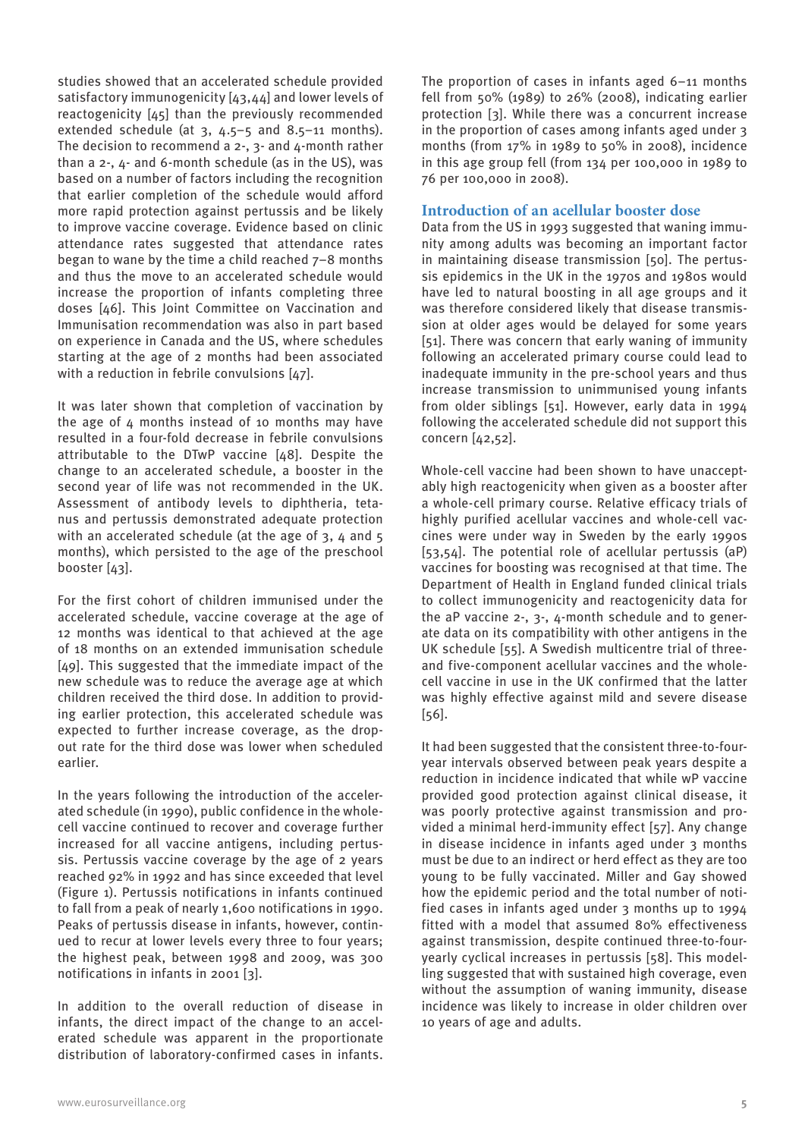studies showed that an accelerated schedule provided satisfactory immunogenicity [43,44] and lower levels of reactogenicity [45] than the previously recommended extended schedule (at  $3, 4.5-5$  and  $8.5-11$  months). The decision to recommend a 2-, 3- and 4-month rather than a 2-, 4- and 6-month schedule (as in the US), was based on a number of factors including the recognition that earlier completion of the schedule would afford more rapid protection against pertussis and be likely to improve vaccine coverage. Evidence based on clinic attendance rates suggested that attendance rates began to wane by the time a child reached 7–8 months and thus the move to an accelerated schedule would increase the proportion of infants completing three doses [46]. This Joint Committee on Vaccination and Immunisation recommendation was also in part based on experience in Canada and the US, where schedules starting at the age of 2 months had been associated with a reduction in febrile convulsions [47].

It was later shown that completion of vaccination by the age of  $4$  months instead of 10 months may have resulted in a four-fold decrease in febrile convulsions attributable to the DTwP vaccine [48]. Despite the change to an accelerated schedule, a booster in the second year of life was not recommended in the UK. Assessment of antibody levels to diphtheria, tetanus and pertussis demonstrated adequate protection with an accelerated schedule (at the age of 3, 4 and 5 months), which persisted to the age of the preschool booster [43].

For the first cohort of children immunised under the accelerated schedule, vaccine coverage at the age of 12 months was identical to that achieved at the age of 18 months on an extended immunisation schedule [49]. This suggested that the immediate impact of the new schedule was to reduce the average age at which children received the third dose. In addition to providing earlier protection, this accelerated schedule was expected to further increase coverage, as the dropout rate for the third dose was lower when scheduled earlier.

In the years following the introduction of the accelerated schedule (in 1990), public confidence in the wholecell vaccine continued to recover and coverage further increased for all vaccine antigens, including pertussis. Pertussis vaccine coverage by the age of 2 years reached 92% in 1992 and has since exceeded that level (Figure 1). Pertussis notifications in infants continued to fall from a peak of nearly 1,600 notifications in 1990. Peaks of pertussis disease in infants, however, continued to recur at lower levels every three to four years; the highest peak, between 1998 and 2009, was 300 notifications in infants in 2001 [3].

In addition to the overall reduction of disease in infants, the direct impact of the change to an accelerated schedule was apparent in the proportionate distribution of laboratory-confirmed cases in infants. The proportion of cases in infants aged 6–11 months fell from 50% (1989) to 26% (2008), indicating earlier protection [3]. While there was a concurrent increase in the proportion of cases among infants aged under 3 months (from 17% in 1989 to 50% in 2008), incidence in this age group fell (from 134 per 100,000 in 1989 to 76 per 100,000 in 2008).

# **Introduction of an acellular booster dose**

Data from the US in 1993 suggested that waning immunity among adults was becoming an important factor in maintaining disease transmission [50]. The pertussis epidemics in the UK in the 1970s and 1980s would have led to natural boosting in all age groups and it was therefore considered likely that disease transmission at older ages would be delayed for some years [51]. There was concern that early waning of immunity following an accelerated primary course could lead to inadequate immunity in the pre-school years and thus increase transmission to unimmunised young infants from older siblings [51]. However, early data in 1994 following the accelerated schedule did not support this concern [42,52].

Whole-cell vaccine had been shown to have unacceptably high reactogenicity when given as a booster after a whole-cell primary course. Relative efficacy trials of highly purified acellular vaccines and whole-cell vaccines were under way in Sweden by the early 1990s [53,54]. The potential role of acellular pertussis (aP) vaccines for boosting was recognised at that time. The Department of Health in England funded clinical trials to collect immunogenicity and reactogenicity data for the aP vaccine 2-, 3-, 4-month schedule and to generate data on its compatibility with other antigens in the UK schedule [55]. A Swedish multicentre trial of threeand five-component acellular vaccines and the wholecell vaccine in use in the UK confirmed that the latter was highly effective against mild and severe disease [56].

It had been suggested that the consistent three-to-fouryear intervals observed between peak years despite a reduction in incidence indicated that while wP vaccine provided good protection against clinical disease, it was poorly protective against transmission and provided a minimal herd-immunity effect [57]. Any change in disease incidence in infants aged under 3 months must be due to an indirect or herd effect as they are too young to be fully vaccinated. Miller and Gay showed how the epidemic period and the total number of notified cases in infants aged under 3 months up to 1994 fitted with a model that assumed 80% effectiveness against transmission, despite continued three-to-fouryearly cyclical increases in pertussis [58]. This modelling suggested that with sustained high coverage, even without the assumption of waning immunity, disease incidence was likely to increase in older children over 10 years of age and adults.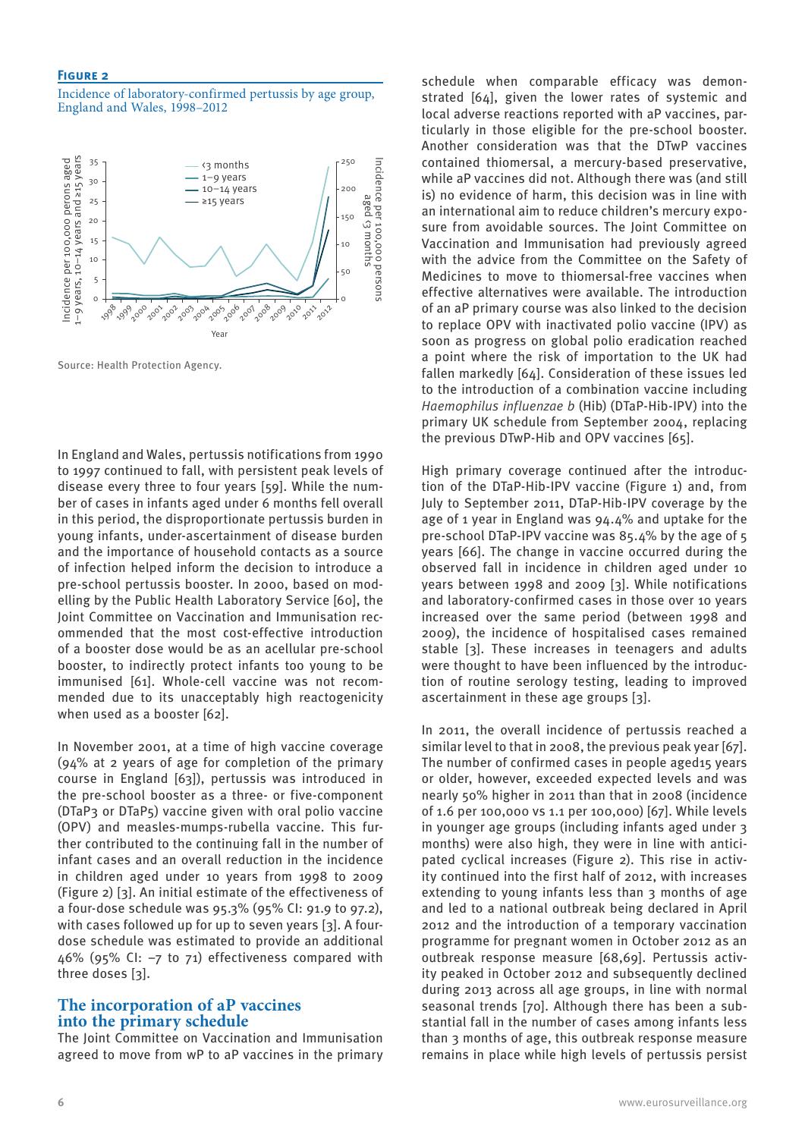#### **Figure 2**

Incidence of laboratory-confirmed pertussis by age group, England and Wales, 1998–2012



Source: Health Protection Agency.

In England and Wales, pertussis notifications from 1990 to 1997 continued to fall, with persistent peak levels of disease every three to four years [59]. While the number of cases in infants aged under 6 months fell overall in this period, the disproportionate pertussis burden in young infants, under-ascertainment of disease burden and the importance of household contacts as a source of infection helped inform the decision to introduce a pre-school pertussis booster. In 2000, based on modelling by the Public Health Laboratory Service [60], the Joint Committee on Vaccination and Immunisation recommended that the most cost-effective introduction of a booster dose would be as an acellular pre-school booster, to indirectly protect infants too young to be immunised [61]. Whole-cell vaccine was not recommended due to its unacceptably high reactogenicity when used as a booster [62].

In November 2001, at a time of high vaccine coverage (94% at 2 years of age for completion of the primary course in England [63]), pertussis was introduced in the pre-school booster as a three- or five-component (DTaP3 or DTaP5) vaccine given with oral polio vaccine (OPV) and measles-mumps-rubella vaccine. This further contributed to the continuing fall in the number of infant cases and an overall reduction in the incidence in children aged under 10 years from 1998 to 2009 (Figure 2) [3]. An initial estimate of the effectiveness of a four-dose schedule was 95.3% (95% CI: 91.9 to 97.2), with cases followed up for up to seven years [3]. A fourdose schedule was estimated to provide an additional 46% (95% CI: –7 to 71) effectiveness compared with three doses [3].

## **The incorporation of aP vaccines into the primary schedule**

The Joint Committee on Vaccination and Immunisation agreed to move from wP to aP vaccines in the primary schedule when comparable efficacy was demonstrated [64], given the lower rates of systemic and local adverse reactions reported with aP vaccines, particularly in those eligible for the pre-school booster. Another consideration was that the DTwP vaccines contained thiomersal, a mercury-based preservative, while aP vaccines did not. Although there was (and still is) no evidence of harm, this decision was in line with an international aim to reduce children's mercury exposure from avoidable sources. The Joint Committee on Vaccination and Immunisation had previously agreed with the advice from the Committee on the Safety of Medicines to move to thiomersal-free vaccines when effective alternatives were available. The introduction of an aP primary course was also linked to the decision to replace OPV with inactivated polio vaccine (IPV) as soon as progress on global polio eradication reached a point where the risk of importation to the UK had fallen markedly [64]. Consideration of these issues led to the introduction of a combination vaccine including *Haemophilus influenzae b* (Hib) (DTaP-Hib-IPV) into the primary UK schedule from September 2004, replacing the previous DTwP-Hib and OPV vaccines [65].

High primary coverage continued after the introduction of the DTaP-Hib-IPV vaccine (Figure 1) and, from July to September 2011, DTaP-Hib-IPV coverage by the age of 1 year in England was 94.4% and uptake for the pre-school DTaP-IPV vaccine was 85.4% by the age of 5 years [66]. The change in vaccine occurred during the observed fall in incidence in children aged under 10 years between 1998 and 2009 [3]. While notifications and laboratory-confirmed cases in those over 10 years increased over the same period (between 1998 and 2009), the incidence of hospitalised cases remained stable [3]. These increases in teenagers and adults were thought to have been influenced by the introduction of routine serology testing, leading to improved ascertainment in these age groups [3].

In 2011, the overall incidence of pertussis reached a similar level to that in 2008, the previous peak year [67]. The number of confirmed cases in people aged15 years or older, however, exceeded expected levels and was nearly 50% higher in 2011 than that in 2008 (incidence of 1.6 per 100,000 vs 1.1 per 100,000) [67]. While levels in younger age groups (including infants aged under 3 months) were also high, they were in line with anticipated cyclical increases (Figure 2). This rise in activity continued into the first half of 2012, with increases extending to young infants less than 3 months of age and led to a national outbreak being declared in April 2012 and the introduction of a temporary vaccination programme for pregnant women in October 2012 as an outbreak response measure [68,69]. Pertussis activity peaked in October 2012 and subsequently declined during 2013 across all age groups, in line with normal seasonal trends [70]. Although there has been a substantial fall in the number of cases among infants less than 3 months of age, this outbreak response measure remains in place while high levels of pertussis persist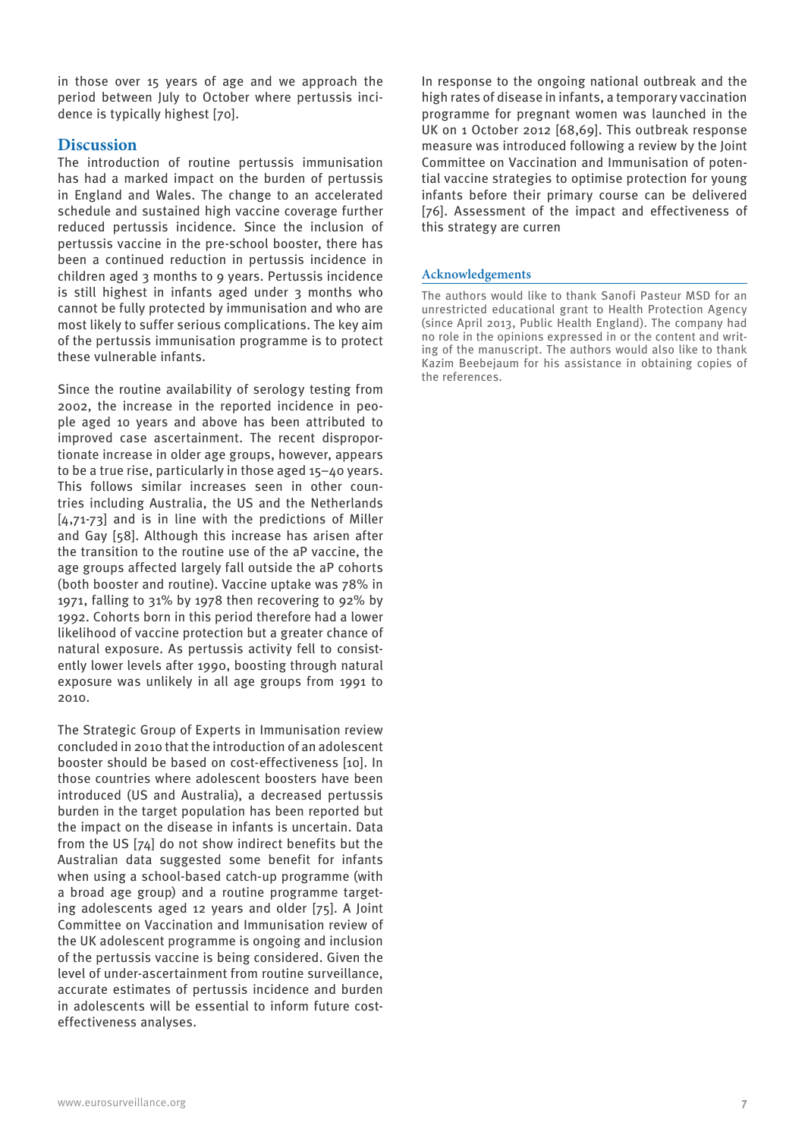in those over 15 years of age and we approach the period between July to October where pertussis incidence is typically highest [70].

# **Discussion**

The introduction of routine pertussis immunisation has had a marked impact on the burden of pertussis in England and Wales. The change to an accelerated schedule and sustained high vaccine coverage further reduced pertussis incidence. Since the inclusion of pertussis vaccine in the pre-school booster, there has been a continued reduction in pertussis incidence in children aged 3 months to 9 years. Pertussis incidence is still highest in infants aged under 3 months who cannot be fully protected by immunisation and who are most likely to suffer serious complications. The key aim of the pertussis immunisation programme is to protect these vulnerable infants.

Since the routine availability of serology testing from 2002, the increase in the reported incidence in people aged 10 years and above has been attributed to improved case ascertainment. The recent disproportionate increase in older age groups, however, appears to be a true rise, particularly in those aged 15–40 years. This follows similar increases seen in other countries including Australia, the US and the Netherlands [4,71-73] and is in line with the predictions of Miller and Gay [58]. Although this increase has arisen after the transition to the routine use of the aP vaccine, the age groups affected largely fall outside the aP cohorts (both booster and routine). Vaccine uptake was 78% in 1971, falling to 31% by 1978 then recovering to 92% by 1992. Cohorts born in this period therefore had a lower likelihood of vaccine protection but a greater chance of natural exposure. As pertussis activity fell to consistently lower levels after 1990, boosting through natural exposure was unlikely in all age groups from 1991 to 2010.

The Strategic Group of Experts in Immunisation review concluded in 2010 that the introduction of an adolescent booster should be based on cost-effectiveness [10]. In those countries where adolescent boosters have been introduced (US and Australia), a decreased pertussis burden in the target population has been reported but the impact on the disease in infants is uncertain. Data from the US [74] do not show indirect benefits but the Australian data suggested some benefit for infants when using a school-based catch-up programme (with a broad age group) and a routine programme targeting adolescents aged 12 years and older [75]. A Joint Committee on Vaccination and Immunisation review of the UK adolescent programme is ongoing and inclusion of the pertussis vaccine is being considered. Given the level of under-ascertainment from routine surveillance, accurate estimates of pertussis incidence and burden in adolescents will be essential to inform future costeffectiveness analyses.

In response to the ongoing national outbreak and the high rates of disease in infants, a temporary vaccination programme for pregnant women was launched in the UK on 1 October 2012 [68,69]. This outbreak response measure was introduced following a review by the Joint Committee on Vaccination and Immunisation of potential vaccine strategies to optimise protection for young infants before their primary course can be delivered [76]. Assessment of the impact and effectiveness of this strategy are curren

#### **Acknowledgements**

The authors would like to thank Sanofi Pasteur MSD for an unrestricted educational grant to Health Protection Agency (since April 2013, Public Health England). The company had no role in the opinions expressed in or the content and writing of the manuscript. The authors would also like to thank Kazim Beebejaum for his assistance in obtaining copies of the references.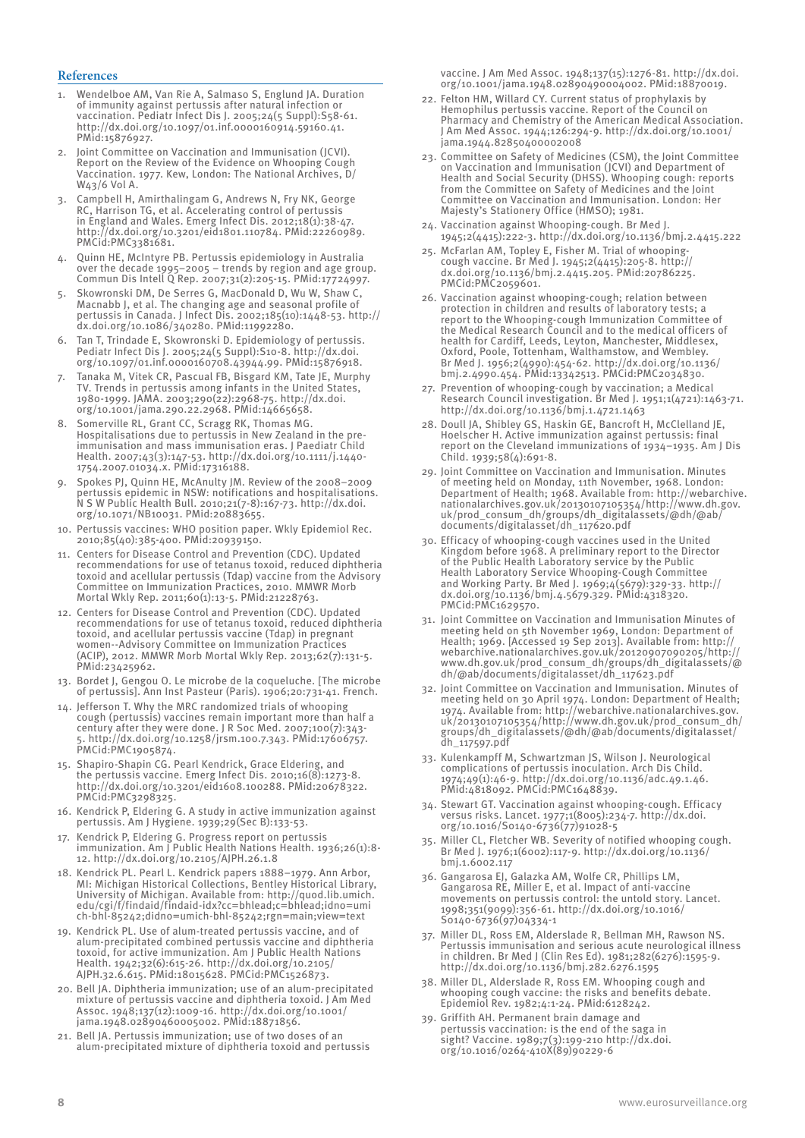#### **References**

- 1. Wendelboe AM, Van Rie A, Salmaso S, Englund JA. Duration of immunity against pertussis after natural infection or vaccination. Pediatr Infect Dis J. 2005;24(5 Suppl):S58-61. http://dx.doi.org/10.1097/01.inf.0000160914.59160.41. PMid:15876927.
- 2. Joint Committee on Vaccination and Immunisation (JCVI). Report on the Review of the Evidence on Whooping Cough Vaccination. 1977. Kew, London: The National Archives, D/ W43/6 Vol A.
- 3. Campbell H, Amirthalingam G, Andrews N, Fry NK, George RC, Harrison TG, et al. Accelerating control of pertussis in England and Wales. Emerg Infect Dis. 2012;18(1):38-47. http://dx.doi.org/10.3201/eid1801.110784. PMid:22260989. PMCid:PMC3381681.
- 4. Quinn HE, McIntyre PB. Pertussis epidemiology in Australia over the decade 1995–2005 – trends by region and age group. Commun Dis Intell Q Rep. 2007;31(2):205-15. PMid:17724997.
- 5. Skowronski DM, De Serres G, MacDonald D, Wu W, Shaw C, Macnabb J, et al. The changing age and seasonal profile of pertussis in Canada. J Infect Dis. 2002;185(10):1448-53. http:// dx.doi.org/10.1086/340280. PMid:11992280.
- 6. Tan T, Trindade E, Skowronski D. Epidemiology of pertussis. Pediatr Infect Dis J. 2005;24(5 Suppl):S10-8. http://dx.doi. org/10.1097/01.inf.0000160708.43944.99. PMid:15876918.
- 7. Tanaka M, Vitek CR, Pascual FB, Bisgard KM, Tate JE, Murphy TV. Trends in pertussis among infants in the United States, 1980-1999. JAMA. 2003;290(22):2968-75. http://dx.doi.  $\frac{1}{2}$ org/10.1001/jama.290.22.2968. PMid:14665658.
- Somerville RL, Grant CC, Scragg RK, Thomas MG Hospitalisations due to pertussis in New Zealand in the preimmunisation and mass immunisation eras. J Paediatr Child Health. 2007;43(3):147-53. http://dx.doi.org/10.1111/j.1440- 1754.2007.01034.x. PMid:17316188.
- 9. Spokes PJ, Quinn HE, McAnulty JM. Review of the 2008–2009 pertussis epidemic in NSW: notifications and hospitalisations. N S W Public Health Bull. 2010;21(7-8):167-73. http://dx.doi. org/10.1071/NB10031. PMid:20883655.
- 10. Pertussis vaccines: WHO position paper. Wkly Epidemiol Rec. 2010;85(40):385-400. PMid:20939150.
- 11. Centers for Disease Control and Prevention (CDC). Updated recommendations for use of tetanus toxoid, reduced diphtheria toxoid and acellular pertussis (Tdap) vaccine from the Advisory Committee on Immunization Practices, 2010. MMWR Morb Mortal Wkly Rep. 2011;60(1):13-5. PMid:21228763.
- 12. Centers for Disease Control and Prevention (CDC). Updated recommendations for use of tetanus toxoid, reduced diphtheria toxoid, and acellular pertussis vaccine (Tdap) in pregnant women--Advisory Committee on Immunization Practices (ACIP), 2012. MMWR Morb Mortal Wkly Rep. 2013;62(7):131-5. PMid:23425962.
- 13. Bordet J, Gengou O. Le microbe de la coqueluche. [The microbe of pertussis]. Ann Inst Pasteur (Paris). 1906;20:731-41. French.
- 14. Jefferson T. Why the MRC randomized trials of whooping cough (pertussis) vaccines remain important more than half a century after they were done. J R Soc Med. 2007;100(7):343- 5. http://dx.doi.org/10.1258/jrsm.100.7.343. PMid:17606757. PMCid:PMC1905874.
- 15. Shapiro-Shapin CG. Pearl Kendrick, Grace Eldering, and the pertussis vaccine. Emerg Infect Dis. 2010;16(8):1273-8. http://dx.doi.org/10.3201/eid1608.100288. PMid:20678322. PMCid:PMC3298325.
- 16. Kendrick P, Eldering G. A study in active immunization against pertussis. Am J Hygiene. 1939;29(Sec B):133-53.
- 17. Kendrick P, Eldering G. Progress report on pertussis immunization. Am J Public Health Nations Health. 1936;26(1):8- 12. http://dx.doi.org/10.2105/AJPH.26.1.8
- 18. Kendrick PL. Pearl L. Kendrick papers 1888–1979. Ann Arbor, MI: Michigan Historical Collections, Bentley Historical Library, University of Michigan. Available from: http://quod.lib.umich. edu/cgi/f/findaid/findaid-idx?cc=bhlead;c=bhlead;idno=umi ch-bhl-85242;didno=umich-bhl-85242;rgn=main;view=text
- 19. Kendrick PL. Use of alum-treated pertussis vaccine, and of alum-precipitated combined pertussis vaccine and diphtheria toxoid, for active immunization. Am J Public Health Nations Health. 1942;32(6):615-26. http://dx.doi.org/10.2105/ AJPH.32.6.615. PMid:18015628. PMCid:PMC1526873.
- 20. Bell JA. Diphtheria immunization; use of an alum-precipitated mixture of pertussis vaccine and diphtheria toxoid. J Am Med Assoc. 1948;137(12):1009-16. http://dx.doi.org/10.1001/ jama.1948.02890460005002. PMid:18871856.
- 21. Bell JA. Pertussis immunization; use of two doses of an alum-precipitated mixture of diphtheria toxoid and pertussis

vaccine. J Am Med Assoc. 1948;137(15):1276-81. http://dx.doi. org/10.1001/jama.1948.02890490004002. PMid:18870019.

- 22. Felton HM, Willard CY. Current status of prophylaxis by Hemophilus pertussis vaccine. Report of the Council on Pharmacy and Chemistry of the American Medical Association. J Am Med Assoc. 1944;126:294-9. http://dx.doi.org/10.1001/ jama.1944.82850400002008
- 23. Committee on Safety of Medicines (CSM), the Joint Committee on Vaccination and Immunisation (JCVI) and Department of Health and Social Security (DHSS). Whooping cough: reports from the Committee on Safety of Medicines and the Joint Committee on Vaccination and Immunisation. London: Her Majesty's Stationery Office (HMSO); 1981.
- 24. Vaccination against Whooping-cough. Br Med J. 1945;2(4415):222-3. http://dx.doi.org/10.1136/bmj.2.4415.222
- 25. McFarlan AM, Topley E, Fisher M. Trial of whoopingcough vaccine. Br Med J. 1945;2(4415):205-8. http:// dx.doi.org/10.1136/bmj.2.4415.205. PMid:20786225. PMCid:PMC2059601.
- 26. Vaccination against whooping-cough; relation between protection in children and results of laboratory tests; a report to the Whooping-cough Immunization Committee of the Medical Research Council and to the medical officers of health for Cardiff, Leeds, Leyton, Manchester, Middlesex, Oxford, Poole, Tottenham, Walthamstow, and Wembley. Br Med J. 1956;2(4990):454-62. http://dx.doi.org/10.1136/ bmj.2.4990.454. PMid:13342513. PMCid:PMC2034830.
- 27. Prevention of whooping-cough by vaccination; a Medical Research Council investigation. Br Med J. 1951;1(4721):1463-71. http://dx.doi.org/10.1136/bmj.1.4721.1463
- 28. Doull JA, Shibley GS, Haskin GE, Bancroft H, McClelland JE, Hoelscher H. Active immunization against pertussis: final report on the Cleveland immunizations of 1934–1935. Am J Dis Child. 1939;58(4):691-8.
- 29. Joint Committee on Vaccination and Immunisation. Minutes of meeting held on Monday, 11th November, 1968. London: Department of Health; 1968. Available from: http://webarchive. nationalarchives.gov.uk/20130107105354/http://www.dh.gov. uk/prod\_consum\_dh/groups/dh\_digitalassets/@dh/@ab/ documents/digitalasset/dh\_117620.pdf
- 30. Efficacy of whooping-cough vaccines used in the United Kingdom before 1968. A preliminary report to the Director of the Public Health Laboratory service by the Public Health Laboratory Service Whooping-Cough Committee and Working Party. Br Med J. 1969;4(5679):329-33. http:// dx.doi.org/10.1136/bmj.4.5679.329. PMid:4318320. PMCid:PMC1629570.
- 31. Joint Committee on Vaccination and Immunisation Minutes of meeting held on 5th November 1969, London: Department of Health; 1969. [Accessed 19 Sep 2013]. Available from: http:// webarchive.nationalarchives.gov.uk/20120907090205/http:// www.dh.gov.uk/prod\_consum\_dh/groups/dh\_digitalassets/@ dh/@ab/documents/digitalasset/dh\_117623.pdf
- 32. Joint Committee on Vaccination and Immunisation. Minutes of meeting held on 30 April 1974. London: Department of Health; 1974. Available from: http://webarchive.nationalarchives.gov. uk/20130107105354/http://www.dh.gov.uk/prod\_consum\_dh/ groups/dh\_digitalassets/@dh/@ab/documents/digitalasset/ dh\_117597.pdf
- 33. Kulenkampff M, Schwartzman JS, Wilson J. Neurological complications of pertussis inoculation. Arch Dis Child. 1974;49(1):46-9. http://dx.doi.org/10.1136/adc.49.1.46. PMid:4818092. PMCid:PMC1648839.
- 34. Stewart GT. Vaccination against whooping-cough. Efficacy versus risks. Lancet. 1977;1(8005):234-7. http://dx.doi. org/10.1016/S0140-6736(77)91028-5
- 35. Miller CL, Fletcher WB. Severity of notified whooping cough. Br Med J. 1976;1(6002):117-9. http://dx.doi.org/10.1136/ bmj.1.6002.117
- 36. Gangarosa EJ, Galazka AM, Wolfe CR, Phillips LM, Gangarosa RE, Miller E, et al. Impact of anti-vaccine movements on pertussis control: the untold story. Lancet. 1998;351(9099):356-61. http://dx.doi.org/10.1016/ S0140-6736(97)04334-1
- 37. Miller DL, Ross EM, Alderslade R, Bellman MH, Rawson NS. Pertussis immunisation and serious acute neurological illness in children. Br Med J (Clin Res Ed). 1981;282(6276):1595-9. http://dx.doi.org/10.1136/bmj.282.6276.1595
- 38. Miller DL, Alderslade R, Ross EM. Whooping cough and whooping cough vaccine: the risks and benefits debate. Epidemiol Rev. 1982;4:1-24. PMid:6128242.
- 39. Griffith AH. Permanent brain damage and pertussis vaccination: is the end of the saga in sight? Vaccine. 1989;7(3):199-210 http://dx.doi. org/10.1016/0264-410X(89)90229-6